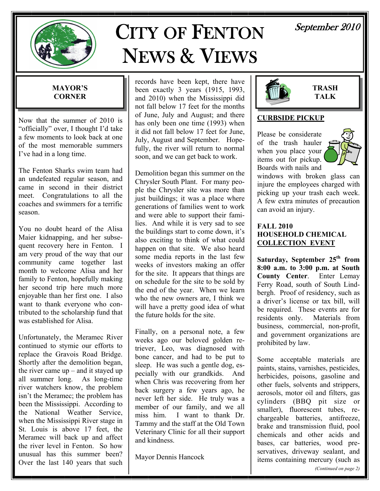

# CITY OF FENTON NEWS & VIEWS

# September 2010

### **MAYOR'S CORNER**

Now that the summer of 2010 is "officially" over, I thought I'd take a few moments to look back at one of the most memorable summers I've had in a long time.

The Fenton Sharks swim team had an undefeated regular season, and came in second in their district meet. Congratulations to all the coaches and swimmers for a terrific season.

You no doubt heard of the Alisa Maier kidnapping, and her subsequent recovery here in Fenton. I am very proud of the way that our community came together last month to welcome Alisa and her family to Fenton, hopefully making her second trip here much more enjoyable than her first one. I also want to thank everyone who contributed to the scholarship fund that was established for Alisa.

Unfortunately, the Meramec River continued to stymie our efforts to replace the Gravois Road Bridge. Shortly after the demolition began, the river came  $up$  – and it stayed up all summer long. As long-time river watchers know, the problem isn't the Meramec; the problem has been the Mississippi. According to the National Weather Service, when the Mississippi River stage in St. Louis is above 17 feet, the Meramec will back up and affect the river level in Fenton. So how unusual has this summer been? Over the last 140 years that such

records have been kept, there have been exactly 3 years (1915, 1993, and 2010) when the Mississippi did not fall below 17 feet for the months of June, July and August; and there has only been one time (1993) when it did not fall below 17 feet for June, July, August and September. Hopefully, the river will return to normal soon, and we can get back to work.

Demolition began this summer on the Chrysler South Plant. For many people the Chrysler site was more than just buildings; it was a place where generations of families went to work and were able to support their families. And while it is very sad to see the buildings start to come down, it's also exciting to think of what could happen on that site. We also heard some media reports in the last few weeks of investors making an offer for the site. It appears that things are on schedule for the site to be sold by the end of the year. When we learn who the new owners are, I think we will have a pretty good idea of what the future holds for the site.

Finally, on a personal note, a few weeks ago our beloved golden retriever, Leo, was diagnosed with bone cancer, and had to be put to sleep. He was such a gentle dog, especially with our grandkids. And when Chris was recovering from her back surgery a few years ago, he never left her side. He truly was a member of our family, and we all miss him. I want to thank Dr. Tammy and the staff at the Old Town Veterinary Clinic for all their support and kindness.

Mayor Dennis Hancock



**TRASH TALK** 

### **CURBSIDE PICKUP**

Please be considerate of the trash hauler when you place your items out for pickup. Boards with nails and



windows with broken glass can injure the employees charged with picking up your trash each week. A few extra minutes of precaution can avoid an injury.

#### **FALL 2010 HOUSEHOLD CHEMICAL COLLECTION EVENT**

Saturday, September 25<sup>th</sup> from **8:00 a.m. to 3:00 p.m. at South County Center**. Enter Lemay Ferry Road, south of South Lindbergh. Proof of residency, such as a driver's license or tax bill, will be required. These events are for residents only. Materials from business, commercial, non-profit, and government organizations are prohibited by law.

Some acceptable materials are paints, stains, varnishes, pesticides, herbicides, poisons, gasoline and other fuels, solvents and strippers, aerosols, motor oil and filters, gas cylinders (BBQ pit size or smaller), fluorescent tubes, rechargeable batteries, antifreeze, brake and transmission fluid, pool chemicals and other acids and bases, car batteries, wood preservatives, driveway sealant, and items containing mercury (such as *(Continued on page 2)*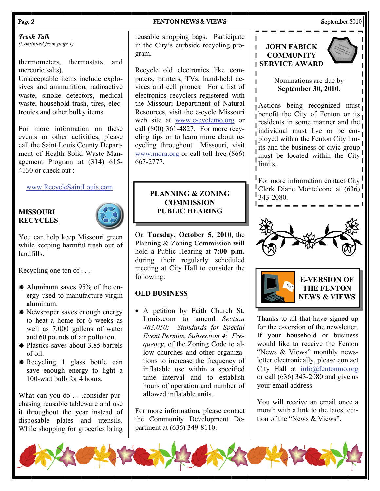#### Page 2 FENTON NEWS & VIEWS September 2010

*Trash Talk (Continued from page 1)* 

thermometers, thermostats, and mercuric salts).

Unacceptable items include explosives and ammunition, radioactive waste, smoke detectors, medical waste, household trash, tires, electronics and other bulky items.

For more information on these events or other activities, please call the Saint Louis County Department of Health Solid Waste Management Program at (314) 615- 4130 or check out :

[www.RecycleSaintLouis.com](http://www.RecycleSaintLouis.com).

#### **MISSOURI RECYCLES**



You can help keep Missouri green while keeping harmful trash out of landfills.

Recycling one ton of . . .

- $*$  Aluminum saves 95% of the energy used to manufacture virgin aluminum.
- \* Newspaper saves enough energy to heat a home for 6 weeks as well as 7,000 gallons of water and 60 pounds of air pollution.
- $*$  Plastics saves about 3.85 barrels of oil.
- $*$  Recycling 1 glass bottle can save enough energy to light a 100-watt bulb for 4 hours.

What can you do . . .consider purchasing reusable tableware and use it throughout the year instead of disposable plates and utensils. While shopping for groceries bring

reusable shopping bags. Participate in the City's curbside recycling program.

Recycle old electronics like computers, printers, TVs, hand-held devices and cell phones. For a list of electronics recyclers registered with the Missouri Department of Natural Resources, visit the e-cycle Missouri web site at [www.e-cyclemo.org](http://www.e-cyclemo.org) or call (800) 361-4827. For more recycling tips or to learn more about recycling throughout Missouri, visit [www.mora.org](http://www.mora.org) or call toll free (866) 667-2777.

#### **PLANNING & ZONING COMMISSION PUBLIC HEARING**

On **Tuesday, October 5, 2010**, the Planning & Zoning Commission will hold a Public Hearing at **7:00 p.m.**  during their regularly scheduled meeting at City Hall to consider the following:

### **OLD BUSINESS**

• A petition by Faith Church St. Louis.com to amend *Section 463.050: Standards for Special Event Permits, Subsection 4: Frequency*, of the Zoning Code to allow churches and other organizations to increase the frequency of inflatable use within a specified time interval and to establish hours of operation and number of allowed inflatable units.

For more information, please contact the Community Development Department at (636) 349-8110.



**JOHN FABICK COMMUNITY** 

 $\mathbf{I}$ Ĺ

> Thanks to all that have signed up for the e-version of the newsletter. If your household or business would like to receive the Fenton "News & Views" monthly newsletter electronically, please contact City Hall at [info@fentonmo.org](mailto:info@fentonmo.org?subject=E-Newsletter) or call (636) 343-2080 and give us your email address.

> You will receive an email once a month with a link to the latest edition of the "News & Views".

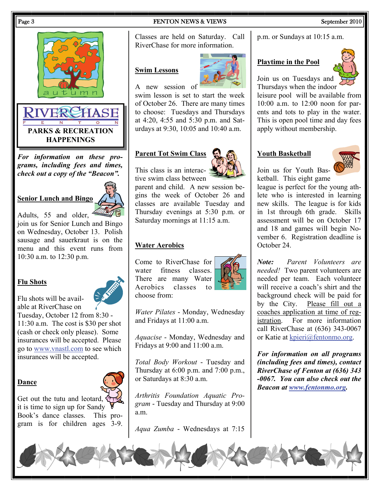

*For information on these programs, including fees and times, check out a copy of the "Beacon".* 

### **Senior Lunch and Bingo**

Adults, 55 and older, join us for Senior Lunch and Bingo on Wednesday, October 13. Polish sausage and sauerkraut is on the menu and this event runs from 10:30 a.m. to 12:30 p.m.

### **Flu Shots**

Flu shots will be available at RiverChase on

Tuesday, October 12 from 8:30 - 11:30 a.m. The cost is \$30 per shot (cash or check only please). Some insurances will be accepted. Please go to [www.vnastl.com](http://www.vnastl.com) to see which insurances will be accepted.

### **Dance**



Get out the tutu and leotard, it is time to sign up for Sandy Book's dance classes. This program is for children ages 3-9.

#### Page 3 September 2010

Classes are held on Saturday. Call RiverChase for more information.

#### **Swim Lessons**



A new session of

swim lesson is set to start the week of October 26. There are many times to choose: Tuesdays and Thursdays at 4:20, 4:55 and 5:30 p.m. and Saturdays at 9:30, 10:05 and 10:40 a.m.

### **Parent Tot Swim Class**



parent and child. A new session begins the week of October 26 and classes are available Tuesday and Thursday evenings at 5:30 p.m. or Saturday mornings at 11:15 a.m.

#### **Water Aerobics**

Come to RiverChase for water fitness classes. There are many Water Aerobics classes to choose from:



*Water Pilates* - Monday, Wednesday and Fridays at 11:00 a.m.

*Aquacise* - Monday, Wednesday and Fridays at 9:00 and 11:00 a.m.

*Total Body Workout* - Tuesday and Thursday at 6:00 p.m. and 7:00 p.m., or Saturdays at 8:30 a.m.

*Arthritis Foundation Aquatic Program* - Tuesday and Thursday at 9:00 a.m.

*Aqua Zumba* - Wednesdays at 7:15

p.m. or Sundays at 10:15 a.m.

#### **Playtime in the Pool**



Join us on Tuesdays and Thursdays when the indoor

leisure pool will be available from 10:00 a.m. to 12:00 noon for parents and tots to play in the water. This is open pool time and day fees apply without membership.

#### **Youth Basketball**



Join us for Youth Basketball. This eight game

league is perfect for the young athlete who is interested in learning new skills. The league is for kids in 1st through 6th grade. Skills assessment will be on October 17 and 18 and games will begin November 6. Registration deadline is October 24.

*Note: Parent Volunteers are needed!* Two parent volunteers are needed per team. Each volunteer will receive a coach's shirt and the background check will be paid for by the City. Please fill out a coaches application at time of registration. For more information call RiverChase at (636) 343-0067 or Katie at [kpieri@fentonmo.org](mailto:kpieri@fentonmo.org?subject=Youth%20Basketball).

*For information on all programs (including fees and times), contact RiverChase of Fenton at (636) 343 -0067. You can also check out the Beacon at [www.fentonmo.org](http://www.fentonmo.org/).*

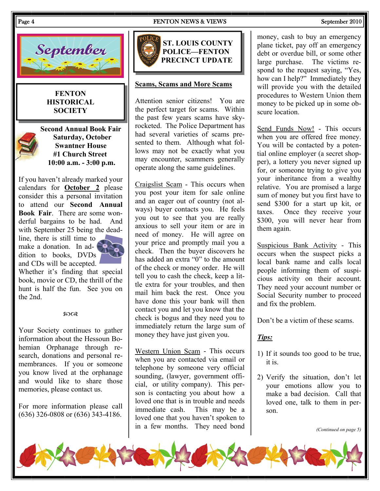#### Page 4 FENTON NEWS & VIEWS September 2010



#### **FENTON HISTORICAL SOCIETY**



 **Second Annual Book Fair Saturday, October Swantner House #1 Church Street 10:00 a.m. - 3:00 p.m.** 

If you haven't already marked your calendars for **October 2** please consider this a personal invitation to attend our **Second Annual Book Fair**. There are some wonderful bargains to be had. And with September 25 being the dead-

line, there is still time to make a donation. In addition to books, DVDs and CDs will be accepted.



Whether it's finding that special book, movie or CD, the thrill of the hunt is half the fun. See you on the 2nd.

#### $20Q$

Your Society continues to gather information about the Hessoun Bohemian Orphanage through research, donations and personal remembrances. If you or someone you know lived at the orphanage and would like to share those memories, please contact us.

For more information please call (636) 326-0808 or (636) 343-4186.



#### **Scams, Scams and More Scams**

Attention senior citizens! You are the perfect target for scams. Within the past few years scams have skyrocketed. The Police Department has had several varieties of scams presented to them. Although what follows may not be exactly what you may encounter, scammers generally operate along the same guidelines.

Craigslist Scam - This occurs when you post your item for sale online and an eager out of country (not always) buyer contacts you. He feels you out to see that you are really anxious to sell your item or are in need of money. He will agree on your price and promptly mail you a check. Then the buyer discovers he has added an extra "0" to the amount of the check or money order. He will tell you to cash the check, keep a little extra for your troubles, and then mail him back the rest. Once you have done this your bank will then contact you and let you know that the check is bogus and they need you to immediately return the large sum of money they have just given you.

Western Union Scam - This occurs when you are contacted via email or telephone by someone very official sounding, (lawyer, government official, or utility company). This person is contacting you about how a loved one that is in trouble and needs immediate cash. This may be a loved one that you haven't spoken to in a few months. They need bond

money, cash to buy an emergency plane ticket, pay off an emergency debt or overdue bill, or some other large purchase. The victims respond to the request saying, "Yes, how can I help?" Immediately they will provide you with the detailed procedures to Western Union them money to be picked up in some obscure location.

Send Funds Now! - This occurs when you are offered free money. You will be contacted by a potential online employer (a secret shopper), a lottery you never signed up for, or someone trying to give you your inheritance from a wealthy relative. You are promised a large sum of money but you first have to send \$300 for a start up kit, or taxes. Once they receive your \$300, you will never hear from them again.

Suspicious Bank Activity - This occurs when the suspect picks a local bank name and calls local people informing them of suspicious activity on their account. They need your account number or Social Security number to proceed and fix the problem.

Don't be a victim of these scams.

### *Tips:*

- 1) If it sounds too good to be true, it is.
- 2) Verify the situation, don't let your emotions allow you to make a bad decision. Call that loved one, talk to them in person.

*(Continued on page 5)* 

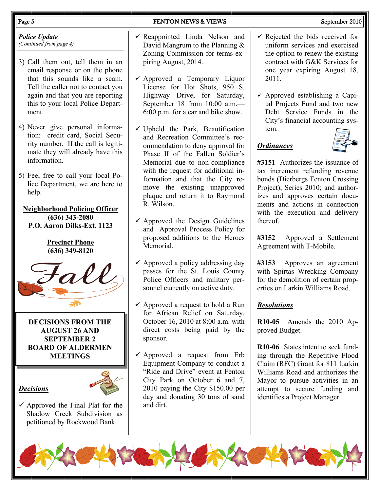#### *Police Update (Continued from page 4)*

- 3) Call them out, tell them in an email response or on the phone that this sounds like a scam. Tell the caller not to contact you again and that you are reporting this to your local Police Department.
- 4) Never give personal information: credit card, Social Security number. If the call is legitimate they will already have this information.
- 5) Feel free to call your local Police Department, we are here to help.

#### **Neighborhood Policing Officer (636) 343-2080 P.O. Aaron Dilks-Ext. 1123**

#### **Precinct Phone (636) 349-8120**



**DECISIONS FROM THE AUGUST 26 AND SEPTEMBER 2 BOARD OF ALDERMEN MEETINGS** 

### *Decisions*



 $\checkmark$  Approved the Final Plat for the Shadow Creek Subdivision as petitioned by Rockwood Bank.

- $\checkmark$  Reappointed Linda Nelson and
- David Mangrum to the Planning & Zoning Commission for terms expiring August, 2014.
- $\checkmark$  Approved a Temporary Liquor License for Hot Shots, 950 S. Highway Drive, for Saturday, September 18 from 10:00 a.m.— 6:00 p.m. for a car and bike show.
- $\checkmark$  Upheld the Park, Beautification and Recreation Committee's recommendation to deny approval for Phase II of the Fallen Soldier's Memorial due to non-compliance with the request for additional information and that the City remove the existing unapproved plaque and return it to Raymond R. Wilson.
- $\checkmark$  Approved the Design Guidelines and Approval Process Policy for proposed additions to the Heroes **Memorial**
- $\checkmark$  Approved a policy addressing day passes for the St. Louis County Police Officers and military personnel currently on active duty.
- $\checkmark$  Approved a request to hold a Run for African Relief on Saturday, October 16, 2010 at 8:00 a.m. with direct costs being paid by the sponsor.
- $\checkmark$  Approved a request from Erb Equipment Company to conduct a "Ride and Drive" event at Fenton City Park on October 6 and 7, 2010 paying the City \$150.00 per day and donating 30 tons of sand and dirt.

#### Page 5 September 2010

- $\checkmark$  Rejected the bids received for uniform services and exercised the option to renew the existing contract with G&K Services for one year expiring August 18, 2011.
- $\checkmark$  Approved establishing a Capital Projects Fund and two new Debt Service Funds in the City's financial accounting system.

### *Ordinances*



**#3151** Authorizes the issuance of tax increment refunding revenue bonds (Dierbergs Fenton Crossing Project), Series 2010; and authorizes and approves certain documents and actions in connection with the execution and delivery thereof.

**#3152** Approved a Settlement Agreement with T-Mobile.

**#3153** Approves an agreement with Spirtas Wrecking Company for the demolition of certain properties on Larkin Williams Road.

### *Resolutions*

**R10-05** Amends the 2010 Approved Budget.

**R10-06** States intent to seek funding through the Repetitive Flood Claim (RFC) Grant for 811 Larkin Williams Road and authorizes the Mayor to pursue activities in an attempt to secure funding and identifies a Project Manager.